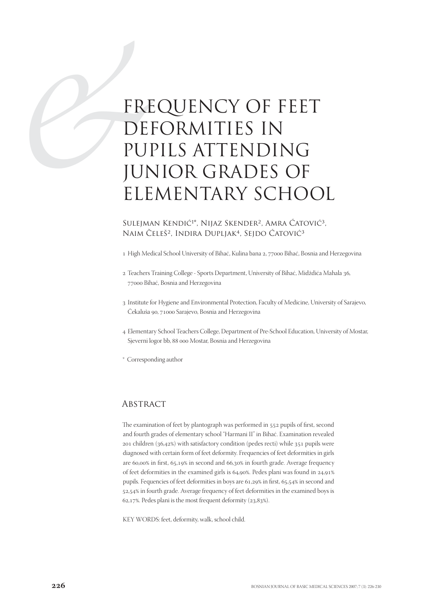# ERE DE FREQUENCY OF FEET DEFORMITIES IN PUPILS ATTENDING JUNIOR GRADES OF ELEMENTARY SCHOOL

Sulejman Kendić<sup>1\*</sup>, Nijaz Skender<sup>2</sup>, Amra Ćatović<sup>3</sup>, Naim Čeleš<sup>2</sup>, Indira Dupljak<sup>4</sup>, Sejdo Ćatović<sup>3</sup>

- 1 High Medical School University of Bihać, Kulina bana 2, 77000 Bihać, Bosnia and Herzegovina
- Teachers Training College Sports Department, University of Bihać, Midždića Mahala , 77000 Bihać, Bosnia and Herzegovina
- 3 Institute for Hygiene and Environmental Protection, Faculty of Medicine, University of Sarajevo, Čekaluša 90, 71000 Sarajevo, Bosnia and Herzegovina
- Elementary School Teachers College, Department of Pre-School Education, University of Mostar, Sieverni logor bb, 88 000 Mostar, Bosnia and Herzegovina
- \* Corresponding author

### **ABSTRACT**

The examination of feet by plantograph was performed in 552 pupils of first, second and fourth grades of elementary school "Harmani II" in Bihać. Examination revealed 201 children ( $36,42\%$ ) with satisfactory condition (pedes recti) while  $351$  pupils were diagnosed with certain form of feet deformity. Frequencies of feet deformities in girls are 60,00% in first, 65,19% in second and 66,30% in fourth grade. Average frequency of feet deformities in the examined girls is 64,90%. Pedes plani was found in 24,91% pupils. Fequencies of feet deformities in boys are  $61,29\%$  in first,  $65,54\%$  in second and 52,54% in fourth grade. Average frequency of feet deformities in the examined boys is 62,17%. Pedes plani is the most frequent deformity  $(23,83\%)$ .

KEY WORDS: feet, deformity, walk, school child.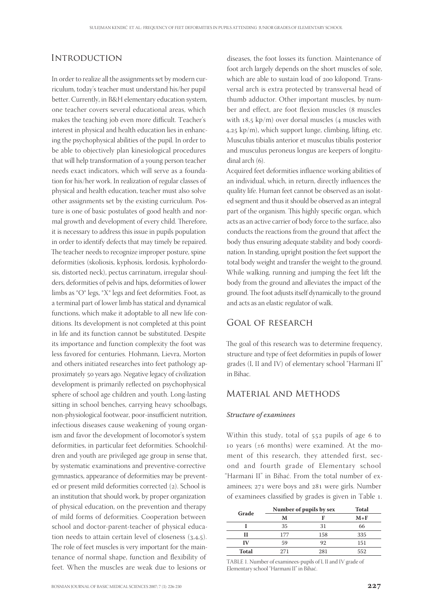# **INTRODUCTION**

In order to realize all the assignments set by modern curriculum, today's teacher must understand his/her pupil better. Currently, in B&H elementary education system, one teacher covers several educational areas, which makes the teaching job even more difficult. Teacher's interest in physical and health education lies in enhancing the psychophysical abilities of the pupil. In order to be able to objectively plan kinesiological procedures that will help transformation of a young person teacher needs exact indicators, which will serve as a foundation for his/her work. In realization of regular classes of physical and health education, teacher must also solve other assignments set by the existing curriculum. Posture is one of basic postulates of good health and normal growth and development of every child. Therefore, it is necessary to address this issue in pupils population in order to identify defects that may timely be repaired. The teacher needs to recognize improper posture, spine deformities (skoliosis, kyphosis, lordosis, kypholordosis, distorted neck), pectus carrinatum, irregular shoulders, deformities of pelvis and hips, deformities of lower limbs as \*O\* legs, \*X\* legs and feet deformities. Foot, as a terminal part of lower limb has statical and dynamical functions, which make it adoptable to all new life conditions. Its development is not completed at this point in life and its function cannot be substituted. Despite its importance and function complexity the foot was less favored for centuries. Hohmann, Lievra, Morton and others initiated researches into feet pathology approximately 50 years ago. Negative legacy of civilization development is primarily reflected on psychophysical sphere of school age children and youth. Long-lasting sitting in school benches, carrying heavy schoolbags, non-physiological footwear, poor-insufficient nutrition, infectious diseases cause weakening of young organism and favor the development of locomotor's system deformities, in particular feet deformities. Schoolchildren and youth are privileged age group in sense that, by systematic examinations and preventive-corrective gymnastics, appearance of deformities may be prevented or present mild deformities corrected (2). School is an institution that should work, by proper organization of physical education, on the prevention and therapy of mild forms of deformities. Cooperation between school and doctor-parent-teacher of physical education needs to attain certain level of closeness  $(3,4,5)$ . The role of feet muscles is very important for the maintenance of normal shape, function and flexibility of feet. When the muscles are weak due to lesions or

diseases, the foot losses its function. Maintenance of foot arch largely depends on the short muscles of sole, which are able to sustain load of 200 kilopond. Transversal arch is extra protected by transversal head of thumb adductor. Other important muscles, by number and effect, are foot flexion muscles (8 muscles with  $18.5 \text{ kp/m}$ ) over dorsal muscles (4 muscles with  $4.25 \text{ kp/m}$ , which support lunge, climbing, lifting, etc. Musculus tibialis anterior et musculus tibialis posterior and musculus peroneus longus are keepers of longitudinal arch  $(6)$ .

Acquired feet deformities influence working abilities of an individual, which, in return, directly influences the quality life. Human feet cannot be observed as an isolated segment and thus it should be observed as an integral part of the organism. This highly specific organ, which acts as an active carrier of body force to the surface, also conducts the reactions from the ground that affect the body thus ensuring adequate stability and body coordination. In standing, upright position the feet support the total body weight and transfer the weight to the ground. While walking, running and jumping the feet lift the body from the ground and alleviates the impact of the ground. The foot adjusts itself dynamically to the ground and acts as an elastic regulator of walk.

## Goal of research

The goal of this research was to determine frequency, structure and type of feet deformities in pupils of lower grades (I, II and IV) of elementary school "Harmani II" in Bihac.

# Material and Methods

#### Structure of examinees

Within this study, total of 552 pupils of age 6 to 10 years ( $\pm 6$  months) were examined. At the moment of this research, they attended first, second and fourth grade of Elementary school "Harmani II" in Bihać. From the total number of examinees; 271 were boys and 281 were girls. Number of examinees classified by grades is given in Table .

| Grade        | Number of pupils by sex | <b>Total</b> |       |  |
|--------------|-------------------------|--------------|-------|--|
|              | м                       | Е            | $M+F$ |  |
|              | 35                      | 31           | 66    |  |
|              | 177                     | 158          | 335   |  |
| IV           | 59                      | 92           | 151   |  |
| <b>Total</b> | 271                     | 281          | 552   |  |

TABLE 1. Number of examinees-pupils of I, II and IV grade of Elementary school "Harmani II" in Bihać.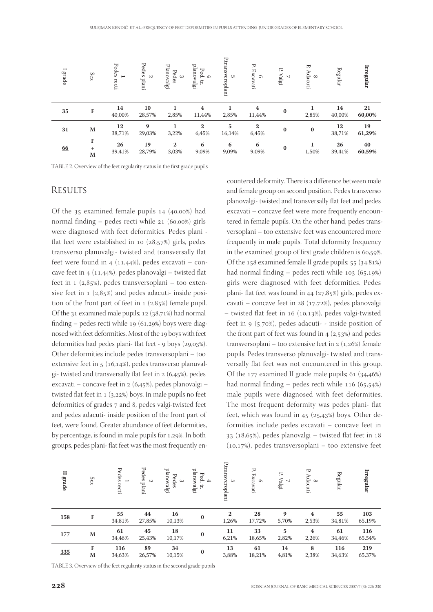| $\overline{\phantom{0}}$<br>grade | Sex                                       | Pedes<br>$\overline{}$<br>recti | Pedes<br>$\sim$<br>plani | Planovalgi<br>Pedes<br>ယ | planovalgi<br>Ped.<br><br>$\mathbf{H}$ | P.transveroplani<br>ς, | Ъ.<br>Excavati<br>$\sigma$ | Ъ.<br>algi | P.<br>Adacuti<br>$\infty$ | Regular      | Irregular    |
|-----------------------------------|-------------------------------------------|---------------------------------|--------------------------|--------------------------|----------------------------------------|------------------------|----------------------------|------------|---------------------------|--------------|--------------|
| 35                                | F                                         | 14<br>40,00%                    | 10<br>28,57%             | 2,85%                    | 4<br>11,44%                            | 2,85%                  | 4<br>11,44%                | $\bf{0}$   | 2,85%                     | 14<br>40,00% | 21<br>60,00% |
| 31                                | M                                         | 12<br>38,71%                    | 9<br>29,03%              | 3,22%                    | $\overline{2}$<br>6,45%                | 5<br>16,14%            | $\mathbf{2}$<br>6,45%      | $\bf{0}$   | $\bf{0}$                  | 12<br>38,71% | 19<br>61,29% |
| <u>66</u>                         | $\overline{\mathrm{F}}$<br>$\ddot{}$<br>M | 26<br>39,41%                    | 19<br>28,79%             | $\mathbf{2}$<br>3,03%    | 6<br>9,09%                             | 6<br>9,09%             | 6<br>9,09%                 | $\bf{0}$   | 1,50%                     | 26<br>39,41% | 40<br>60,59% |

TABLE 2. Overview of the feet regularity status in the first grade pupils

# **RESULTS**

Of the  $35$  examined female pupils  $14$  (40,00%) had normal finding – pedes recti while  $21$  (60,00%) girls were diagnosed with feet deformities. Pedes plani flat feet were established in 10  $(28,57%)$  girls, pedes transverso planuvalgi- twisted and transversally flat feet were found in  $4$  (11,44%), pedes excavati – concave feet in  $4$  (11,44%), pedes planovalgi – twisted flat feet in  $1$  (2,85%), pedes transversoplani – too extensive feet in  $1$  ( $2,85\%$ ) and pedes adacuti- inside position of the front part of feet in  $1$  ( $2,85\%$ ) female pupil. Of the  $31$  examined male pupils;  $12$  ( $38,71%$ ) had normal finding – pedes recti while  $19(61,29%)$  boys were diagnosed with feet deformities. Most of the 19 boys with feet deformities had pedes plani- flat feet -  $9$  boys ( $29,03\%$ ). Other deformities include pedes transversoplani – too extensive feet in  $5(16,14%)$ , pedes transverso planuvalgi- twisted and transversally flat feet in  $2 (6,45\%)$ , pedes excavati – concave feet in 2 (6,45%), pedes planovalgi – twisted flat feet in  $1 (3,22%)$  boys. In male pupils no feet deformities of grades 7 and 8, pedes valgi-twisted feet and pedes adacuti- inside position of the front part of feet, were found. Greater abundance of feet deformities, by percentage, is found in male pupils for 1,29%. In both groups, pedes plani- flat feet was the most frequently en-**EXECULTS**<br> **EXECUTIVE 3.** Overview of the feet regularity status in the feet regularity status in the second grade pupils 14 (10.03) and 3.2 (10.139) and 3.2 (10.139) and 3.2 (10.139) and 1.139.1 (10.139) and 1.139.1 (10

countered deformity. There is a difference between male and female group on second position. Pedes transverso planovalgi- twisted and transversally flat feet and pedes excavati – concave feet were more frequently encountered in female pupils. On the other hand, pedes transversoplani – too extensive feet was encountered more frequently in male pupils. Total deformity frequency in the examined group of first grade children is  $60,59\%$ . Of the  $158$  examined female II grade pupils;  $55$   $(34,81\%)$ had normal finding – pedes recti while  $103$  (65,19%) girls were diagnosed with feet deformities. Pedes plani- flat feet was found in  $44$  ( $27,85%$ ) girls, pedes excavati – concave feet in  $28$  (17,72%), pedes planovalgi  $-$  twisted flat feet in 16 (10,13%), pedes valgi-twisted feet in  $9$  (5,70%), pedes adacuti- - inside position of the front part of feet was found in  $4$  (2,53%) and pedes transversoplani – too extensive feet in  $2 (1,26%)$  female pupils. Pedes transverso planuvalgi- twisted and transversally flat feet was not encountered in this group. Of the  $177$  examined II grade male pupils;  $61$   $(34,46%)$ had normal finding – pedes recti while  $116$  (65,54%) male pupils were diagnosed with feet deformities. The most frequent deformity was pedes plani- flat feet, which was found in  $45$  ( $25,43\%$ ) boys. Other deformities include pedes excavati – concave feet in  $33$  (18,65%), pedes planovalgi – twisted flat feet in 18  $(10,17%)$ , pedes transversoplani – too extensive feet

| $\blacksquare$<br>grade | Sex | Pedes<br>$\overline{\phantom{0}}$<br>recti | Pedes<br>$\sim$<br>plani | planovalgi<br>Pedes<br>ယ | planovalgi<br>Ped.<br><br>$\Xi$ | P.transveroplani<br><b>UT</b> | Ъ.<br>Excavati<br>$\sigma$ | Ъ.<br>Valgi<br>$\sim$ 1 | Ъ.<br>Adacuti<br>$\infty$ | Regular      | Irregular     |
|-------------------------|-----|--------------------------------------------|--------------------------|--------------------------|---------------------------------|-------------------------------|----------------------------|-------------------------|---------------------------|--------------|---------------|
| 158                     | F   | 55<br>34,81%                               | 44<br>27,85%             | 16<br>10,13%             | $\bf{0}$                        | $\mathbf{2}$<br>1,26%         | 28<br>17,72%               | 9<br>5,70%              | 4<br>2,53%                | 55<br>34,81% | 103<br>65,19% |
| 177                     | M   | 61<br>34,46%                               | 45<br>25,43%             | 18<br>10,17%             | $\bf{0}$                        | 11<br>6,21%                   | 33<br>18,65%               | 5<br>2,82%              | 4<br>2,26%                | 61<br>34,46% | 116<br>65,54% |
| 335                     | F   | 116                                        | 89                       | 34                       | $\bf{0}$                        | 13                            | 61                         | 14                      | 8                         | 116          | 219           |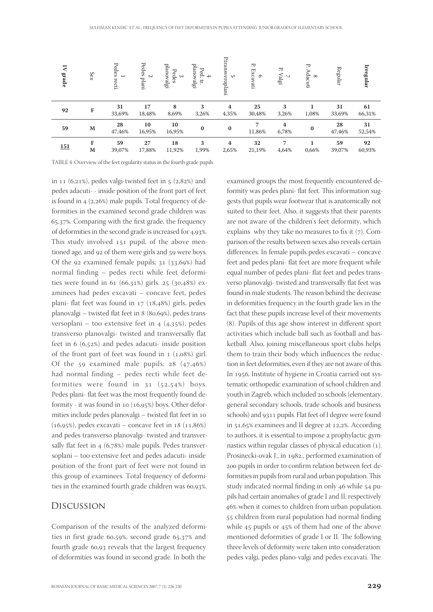| $\overline{\mathbf{N}}$<br>grade                                           | Sex    | $\mathop{\text{\rm Pedes}}$<br>$\overline{\phantom{0}}$<br>recti | Pedes<br>$\sim$<br>plani | planovalgi<br>Pedes<br>ω | planovalgi<br>Ped.<br>$\Rightarrow$<br>Ħ | P.transveroplani<br><b>UT</b> | Ъ.<br>Excavati<br>$\sigma$ | Ъ.<br>$\ensuremath{\mathsf{Valg}}$<br>$\sim$ 1 | Ъ.<br>Adacuti<br>$\infty$ | Regular      | Irregular    |
|----------------------------------------------------------------------------|--------|------------------------------------------------------------------|--------------------------|--------------------------|------------------------------------------|-------------------------------|----------------------------|------------------------------------------------|---------------------------|--------------|--------------|
| 92                                                                         | F      | 31<br>33,69%                                                     | 17<br>18,48%             | 8<br>8,69%               | 3<br>3,26%                               | $\boldsymbol{4}$<br>4,35%     | 25<br>30,48%               | 3<br>3,26%                                     | 1,08%                     | 31<br>33,69% | 61<br>66,31% |
| 59                                                                         | M      | 28<br>47,46%                                                     | 10<br>16,95%             | 10<br>16,95%             | $\bf{0}$                                 | $\bf{0}$                      | 7<br>11,86%                | 4<br>6,78%                                     | $\bf{0}$                  | 28<br>47,46% | 31<br>52,54% |
| <u>151</u>                                                                 | F<br>M | 59<br>39,07%                                                     | 27<br>17,88%             | 18<br>11,92%             | 3<br>1,99%                               | 4<br>2,65%                    | 32<br>21,19%               | 7<br>4,64%                                     | 0,66%                     | 59<br>39,07% | 92<br>60,93% |
| TABLE 4. Overview of the feet regularity status in the fourth grade pupils |        |                                                                  |                          |                          |                                          |                               |                            |                                                |                           |              |              |

in  $11$  (6,21%), pedes valgi-twisted feet in  $5$  (2,82%) and pedes adacuti- - inside position of the front part of feet is found in  $4$  (2,26%) male pupils. Total frequency of deformities in the examined second grade children was 65,37%. Comparing with the first grade, the frequency of deformities in the second grade is increased for 4,93%. This study involved  $151$  pupil, of the above mentioned age, and 92 of them were girls and 59 were boys. Of the 92 examined female pupils;  $31$  ( $33,69\%$ ) had normal finding – pedes recti while feet deformities were found in  $61$   $(66,31\%)$  girls.  $25$   $(30,48\%)$  examinees had pedes excavati – concave feet, pedes plani- flat feet was found in 17 (18,48%) girls, pedes planovalgi – twisted flat feet in  $8$  ( $80,69\%$ ), pedes transversoplani – too extensive feet in  $4$  (4,35%), pedes transverso planovalgi- twisted and transversally flat feet in  $6(6,52%)$  and pedes adacuti- inside position of the front part of feet was found in  $1$  ( $1,08\%$ ) girl. Of the  $59$  examined male pupils;  $28$  ( $47,46\%$ ) had normal finding – pedes recti while feet deformities were found in  $31$   $(52,54%)$  boys. Pedes plani- flat feet was the most frequently found deformity - it was found in 10  $(16,95%)$  boys. Other deformities include pedes planovalgi - twisted flat feet in 10  $(16,95%)$ , pedes excavati – concave feet in  $18 (11,86%)$ and pedes transverso planovalgi- twisted and transversally flat feet in  $4(6,78%)$  male pupils. Pedes transversoplani – too extensive feet and pedes adacuti- inside position of the front part of feet were not found in this group of examinees. Total frequency of deformities in the examined fourth grade children was  $60,93\%$ .

## Discussion

Comparison of the results of the analyzed deformities in first grade  $60,59\%$ , second grade  $65,37\%$  and fourth grade  $60,93$  reveals that the largest frequency of deformities was found in second grade. In both the

examined groups the most frequently encountered deformity was pedes plani- flat feet. This information suggests that pupils wear footwear that is anatomically not suited to their feet. Also, it suggests that their parents are not aware of the children's feet deformity, which explains why they take no measures to fix it  $(7)$ . Comparison of the results between sexes also reveals certain differences. In female pupils pedes excavati – concave feet and pedes plani- flat feet are more frequent while equal number of pedes plani- flat feet and pedes transverso planovalgi- twisted and transversally flat feet was found in male students. The reason behind the decrease in deformities frequency in the fourth grade lies in the fact that these pupils increase level of their movements  $(8)$ . Pupils of this age show interest in different sport activities which include ball such as football and basketball. Also, joining miscellaneous sport clubs helps them to train their body which influences the reduction in feet deformities, even if they are not aware of this. In 1956, Institute of hygiene in Croatia carried out systematic orthopedic examination of school children and youth in Zagreb, which included 20 schools (elementary, general secondary schools, trade schools and business schools) and 9311 pupils. Flat feet of I degree were found in 51,65% examinees and II degree at 12,2%. According to authors, it is essential to impose a prophylactic gymnastics within regular classes of physical education (1). Prosinecki-ovak J., in 1982., performed examination of 200 pupils in order to confirm relation between feet deformities in pupils from rural and urban population. This study indicated normal finding in only 46 while 54 pupils had certain anomalies of grade I and II; respectively 46% when it comes to children from urban population. 55 children from rural population had normal finding while  $45$  pupils or  $45\%$  of them had one of the above mentioned deformities of grade I or II. The following three levels of deformity were taken into consideration: pedes valgi, pedes plano-valgi and pedes excavati. The